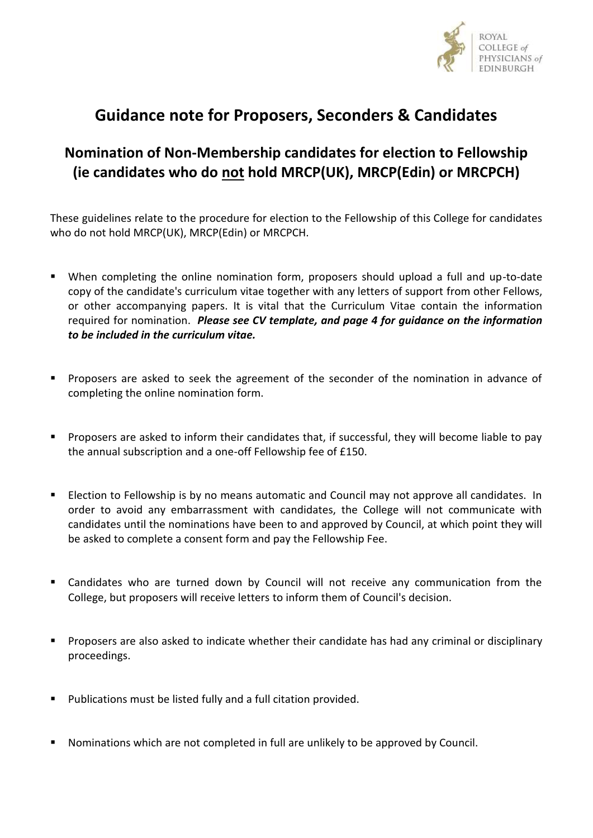

# **Guidance note for Proposers, Seconders & Candidates**

## **Nomination of Non-Membership candidates for election to Fellowship (ie candidates who do not hold MRCP(UK), MRCP(Edin) or MRCPCH)**

These guidelines relate to the procedure for election to the Fellowship of this College for candidates who do not hold MRCP(UK), MRCP(Edin) or MRCPCH.

- When completing the online nomination form, proposers should upload a full and up-to-date copy of the candidate's curriculum vitae together with any letters of support from other Fellows, or other accompanying papers. It is vital that the Curriculum Vitae contain the information required for nomination. *Please see CV template, and page 4 for guidance on the information to be included in the curriculum vitae.*
- Proposers are asked to seek the agreement of the seconder of the nomination in advance of completing the online nomination form.
- Proposers are asked to inform their candidates that, if successful, they will become liable to pay the annual subscription and a one-off Fellowship fee of £150.
- Election to Fellowship is by no means automatic and Council may not approve all candidates. In order to avoid any embarrassment with candidates, the College will not communicate with candidates until the nominations have been to and approved by Council, at which point they will be asked to complete a consent form and pay the Fellowship Fee.
- Candidates who are turned down by Council will not receive any communication from the College, but proposers will receive letters to inform them of Council's decision.
- **Proposers are also asked to indicate whether their candidate has had any criminal or disciplinary** proceedings.
- **Publications must be listed fully and a full citation provided.**
- Nominations which are not completed in full are unlikely to be approved by Council.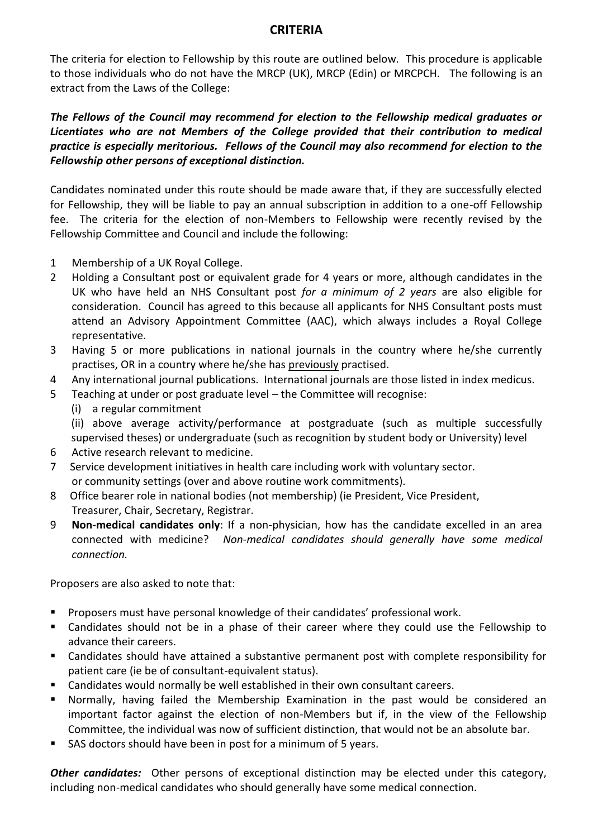### **CRITERIA**

The criteria for election to Fellowship by this route are outlined below. This procedure is applicable to those individuals who do not have the MRCP (UK), MRCP (Edin) or MRCPCH. The following is an extract from the Laws of the College:

*The Fellows of the Council may recommend for election to the Fellowship medical graduates or Licentiates who are not Members of the College provided that their contribution to medical practice is especially meritorious. Fellows of the Council may also recommend for election to the Fellowship other persons of exceptional distinction.*

Candidates nominated under this route should be made aware that, if they are successfully elected for Fellowship, they will be liable to pay an annual subscription in addition to a one-off Fellowship fee. The criteria for the election of non-Members to Fellowship were recently revised by the Fellowship Committee and Council and include the following:

- 1 Membership of a UK Royal College.
- 2 Holding a Consultant post or equivalent grade for 4 years or more, although candidates in the UK who have held an NHS Consultant post *for a minimum of 2 years* are also eligible for consideration. Council has agreed to this because all applicants for NHS Consultant posts must attend an Advisory Appointment Committee (AAC), which always includes a Royal College representative.
- 3 Having 5 or more publications in national journals in the country where he/she currently practises, OR in a country where he/she has previously practised.
- 4 Any international journal publications. International journals are those listed in index medicus.
- 5 Teaching at under or post graduate level the Committee will recognise:
	- (i) a regular commitment

(ii) above average activity/performance at postgraduate (such as multiple successfully supervised theses) or undergraduate (such as recognition by student body or University) level

- 6 Active research relevant to medicine.
- 7 Service development initiatives in health care including work with voluntary sector. or community settings (over and above routine work commitments).
- 8 Office bearer role in national bodies (not membership) (ie President, Vice President, Treasurer, Chair, Secretary, Registrar.
- 9 **Non-medical candidates only**: If a non-physician, how has the candidate excelled in an area connected with medicine?*Non-medical candidates should generally have some medical connection.*

Proposers are also asked to note that:

- Proposers must have personal knowledge of their candidates' professional work.
- Candidates should not be in a phase of their career where they could use the Fellowship to advance their careers.
- Candidates should have attained a substantive permanent post with complete responsibility for patient care (ie be of consultant-equivalent status).
- Candidates would normally be well established in their own consultant careers.
- Normally, having failed the Membership Examination in the past would be considered an important factor against the election of non-Members but if, in the view of the Fellowship Committee, the individual was now of sufficient distinction, that would not be an absolute bar.
- SAS doctors should have been in post for a minimum of 5 years.

*Other candidates:* Other persons of exceptional distinction may be elected under this category, including non-medical candidates who should generally have some medical connection.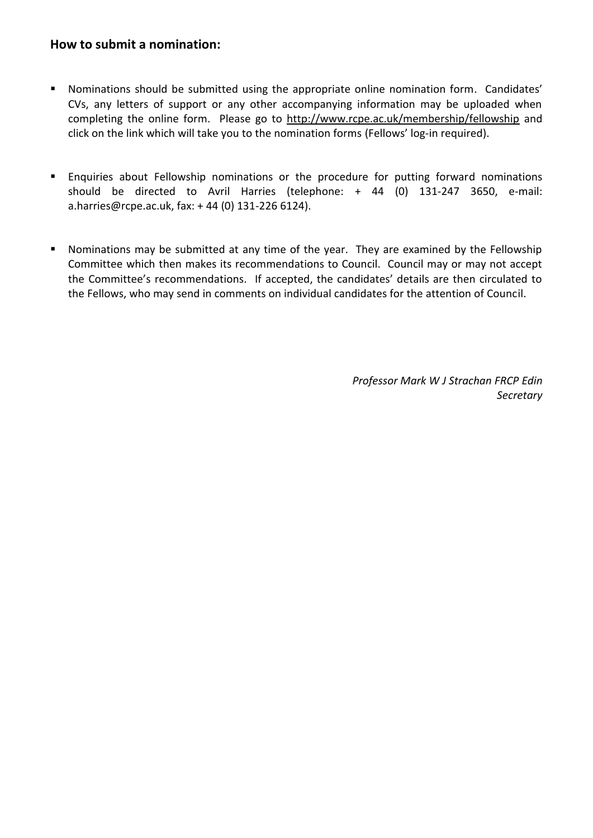### **How to submit a nomination:**

- Nominations should be submitted using the appropriate online nomination form. Candidates' CVs, any letters of support or any other accompanying information may be uploaded when completing the online form. Please go to<http://www.rcpe.ac.uk/membership/fellowship> and click on the link which will take you to the nomination forms (Fellows' log-in required).
- **Enquiries about Fellowship nominations or the procedure for putting forward nominations** should be directed to Avril Harries (telephone: + 44 (0) 131-247 3650, e-mail: a.harries@rcpe.ac.uk, fax: + 44 (0) 131-226 6124).
- Nominations may be submitted at any time of the year. They are examined by the Fellowship Committee which then makes its recommendations to Council. Council may or may not accept the Committee's recommendations. If accepted, the candidates' details are then circulated to the Fellows, who may send in comments on individual candidates for the attention of Council.

*Professor Mark W J Strachan FRCP Edin Secretary*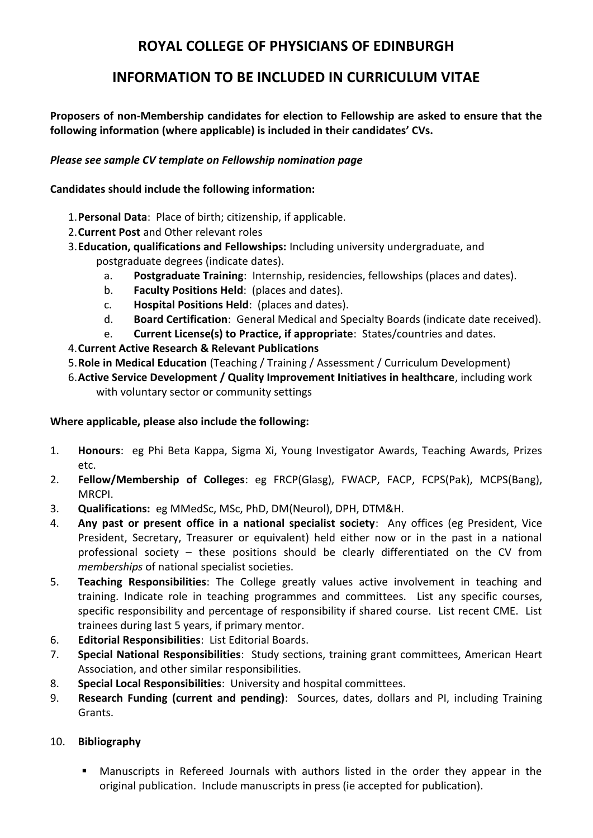### **ROYAL COLLEGE OF PHYSICIANS OF EDINBURGH**

### **INFORMATION TO BE INCLUDED IN CURRICULUM VITAE**

**Proposers of non-Membership candidates for election to Fellowship are asked to ensure that the following information (where applicable) is included in their candidates' CVs.** 

#### *Please see sample CV template on Fellowship nomination page*

#### **Candidates should include the following information:**

- 1.**Personal Data**: Place of birth; citizenship, if applicable.
- 2.**Current Post** and Other relevant roles
- 3.**Education, qualifications and Fellowships:** Including university undergraduate, and postgraduate degrees (indicate dates).
	- a. **Postgraduate Training**: Internship, residencies, fellowships (places and dates).
	- b. **Faculty Positions Held**: (places and dates).
	- c. **Hospital Positions Held**: (places and dates).
	- d. **Board Certification**: General Medical and Specialty Boards (indicate date received).
	- e. **Current License(s) to Practice, if appropriate**: States/countries and dates.
- 4.**Current Active Research & Relevant Publications**
- 5.**Role in Medical Education** (Teaching / Training / Assessment / Curriculum Development)
- 6.**Active Service Development / Quality Improvement Initiatives in healthcare**, including work with voluntary sector or community settings

### **Where applicable, please also include the following:**

- 1. **Honours**: eg Phi Beta Kappa, Sigma Xi, Young Investigator Awards, Teaching Awards, Prizes etc.
- 2. **Fellow/Membership of Colleges**: eg FRCP(Glasg), FWACP, FACP, FCPS(Pak), MCPS(Bang), MRCPI.
- 3. **Qualifications:** eg MMedSc, MSc, PhD, DM(Neurol), DPH, DTM&H.
- 4. **Any past or present office in a national specialist society**: Any offices (eg President, Vice President, Secretary, Treasurer or equivalent) held either now or in the past in a national professional society – these positions should be clearly differentiated on the CV from *memberships* of national specialist societies.
- 5. **Teaching Responsibilities**: The College greatly values active involvement in teaching and training. Indicate role in teaching programmes and committees. List any specific courses, specific responsibility and percentage of responsibility if shared course. List recent CME. List trainees during last 5 years, if primary mentor.
- 6. **Editorial Responsibilities**: List Editorial Boards.
- 7. **Special National Responsibilities**: Study sections, training grant committees, American Heart Association, and other similar responsibilities.
- 8. **Special Local Responsibilities**: University and hospital committees.
- 9. **Research Funding (current and pending)**: Sources, dates, dollars and PI, including Training Grants.

### 10. **Bibliography**

 Manuscripts in Refereed Journals with authors listed in the order they appear in the original publication. Include manuscripts in press (ie accepted for publication).